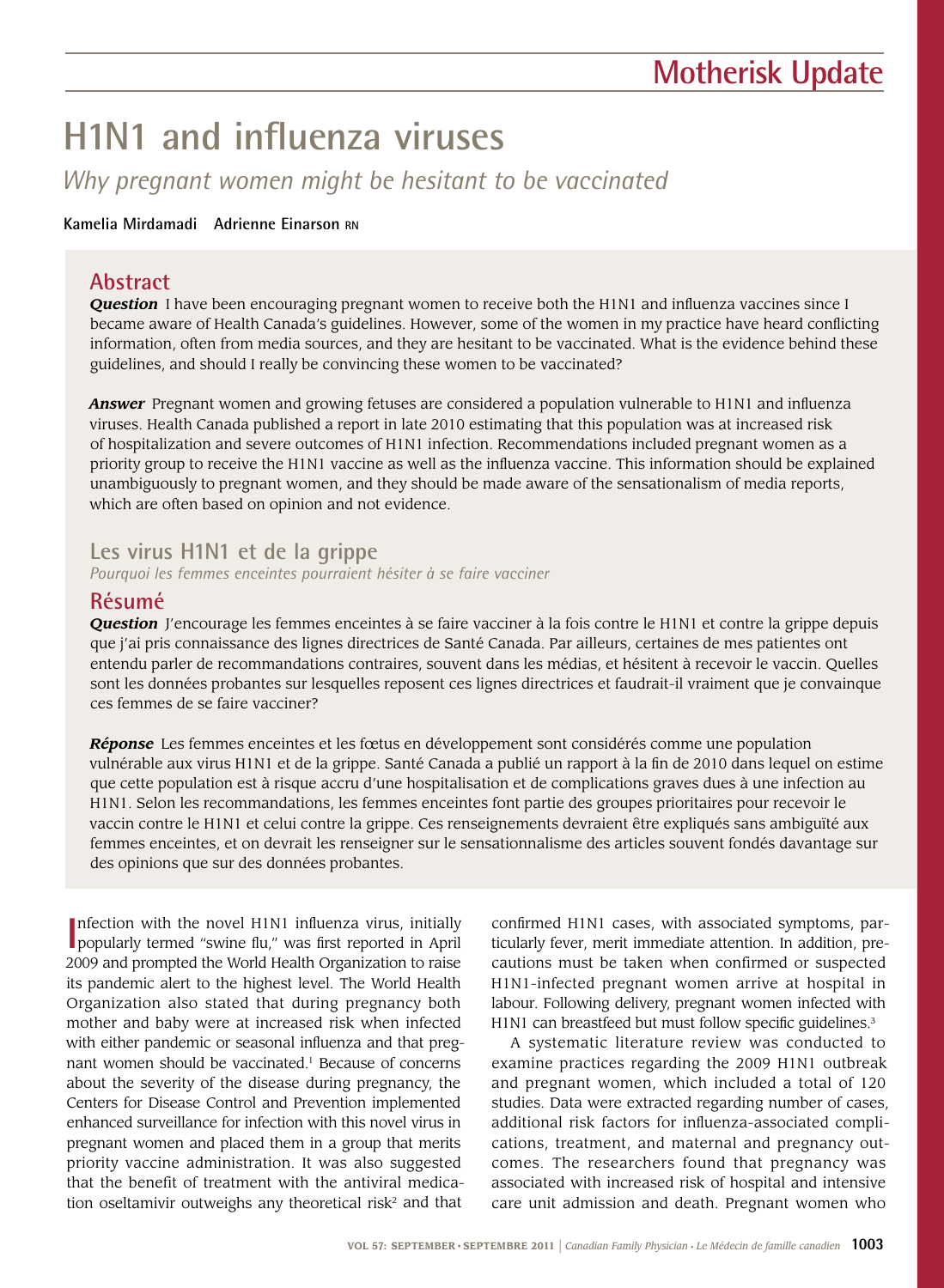# **H1N1 and influenza viruses**

*Why pregnant women might be hesitant to be vaccinated*

### **Kamelia Mirdamadi Adrienne Einarson RN**

## **Abstract**

**Question** I have been encouraging pregnant women to receive both the H1N1 and influenza vaccines since I became aware of Health Canada's guidelines. However, some of the women in my practice have heard conflicting information, often from media sources, and they are hesitant to be vaccinated. What is the evidence behind these guidelines, and should I really be convincing these women to be vaccinated?

*Answer* Pregnant women and growing fetuses are considered a population vulnerable to H1N1 and influenza viruses. Health Canada published a report in late 2010 estimating that this population was at increased risk of hospitalization and severe outcomes of H1N1 infection. Recommendations included pregnant women as a priority group to receive the H1N1 vaccine as well as the influenza vaccine. This information should be explained unambiguously to pregnant women, and they should be made aware of the sensationalism of media reports, which are often based on opinion and not evidence.

## **Les virus H1N1 et de la grippe**

*Pourquoi les femmes enceintes pourraient hésiter à se faire vacciner* 

## **Résumé**

*Question* J'encourage les femmes enceintes à se faire vacciner à la fois contre le H1N1 et contre la grippe depuis que j'ai pris connaissance des lignes directrices de Santé Canada. Par ailleurs, certaines de mes patientes ont entendu parler de recommandations contraires, souvent dans les médias, et hésitent à recevoir le vaccin. Quelles sont les données probantes sur lesquelles reposent ces lignes directrices et faudrait-il vraiment que je convainque ces femmes de se faire vacciner?

*Réponse* Les femmes enceintes et les fœtus en développement sont considérés comme une population vulnérable aux virus H1N1 et de la grippe. Santé Canada a publié un rapport à la fin de 2010 dans lequel on estime que cette population est à risque accru d'une hospitalisation et de complications graves dues à une infection au H1N1. Selon les recommandations, les femmes enceintes font partie des groupes prioritaires pour recevoir le vaccin contre le H1N1 et celui contre la grippe. Ces renseignements devraient être expliqués sans ambiguïté aux femmes enceintes, et on devrait les renseigner sur le sensationnalisme des articles souvent fondés davantage sur des opinions que sur des données probantes.

Infection with the novel H1N1 influenza virus, initially popularly termed "swine flu," was first reported in April nfection with the novel H1N1 influenza virus, initially 2009 and prompted the World Health Organization to raise its pandemic alert to the highest level. The World Health Organization also stated that during pregnancy both mother and baby were at increased risk when infected with either pandemic or seasonal influenza and that pregnant women should be vaccinated.<sup>1</sup> Because of concerns about the severity of the disease during pregnancy, the Centers for Disease Control and Prevention implemented enhanced surveillance for infection with this novel virus in pregnant women and placed them in a group that merits priority vaccine administration. It was also suggested that the benefit of treatment with the antiviral medication oseltamivir outweighs any theoretical risk<sup>2</sup> and that

confirmed H1N1 cases, with associated symptoms, particularly fever, merit immediate attention. In addition, precautions must be taken when confirmed or suspected H1N1-infected pregnant women arrive at hospital in labour. Following delivery, pregnant women infected with H1N1 can breastfeed but must follow specific guidelines.<sup>3</sup>

A systematic literature review was conducted to examine practices regarding the 2009 H1N1 outbreak and pregnant women, which included a total of 120 studies. Data were extracted regarding number of cases, additional risk factors for influenza-associated complications, treatment, and maternal and pregnancy outcomes. The researchers found that pregnancy was associated with increased risk of hospital and intensive care unit admission and death. Pregnant women who